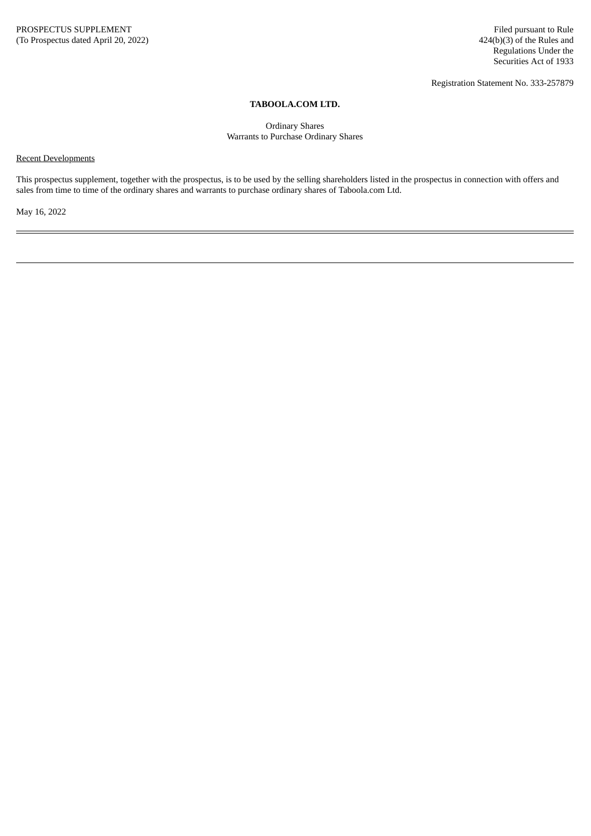Regulations Under the Securities Act of 1933

Registration Statement No. 333-257879

## **TABOOLA.COM LTD.**

Ordinary Shares Warrants to Purchase Ordinary Shares

## Recent Developments

This prospectus supplement, together with the prospectus, is to be used by the selling shareholders listed in the prospectus in connection with offers and sales from time to time of the ordinary shares and warrants to purchase ordinary shares of Taboola.com Ltd.

May 16, 2022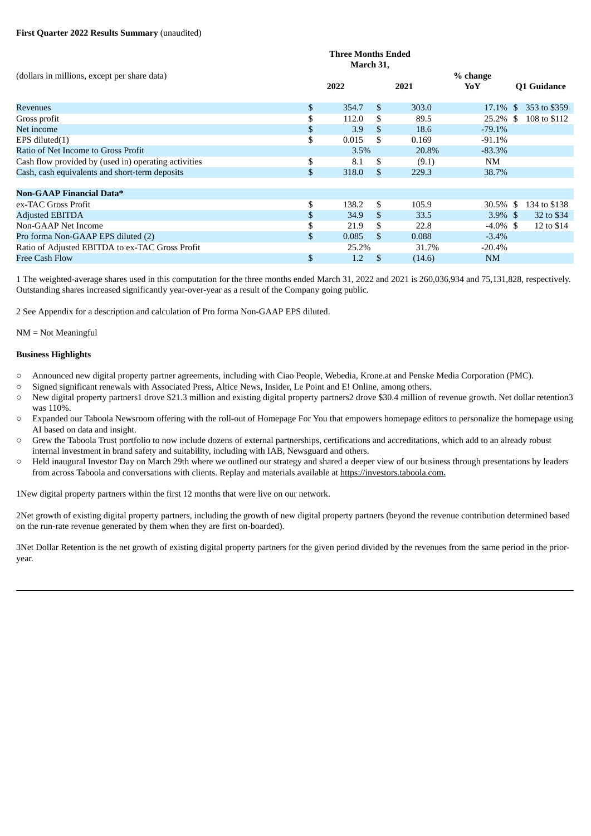#### **First Quarter 2022 Results Summary** (unaudited)

|                                                      | <b>Three Months Ended</b><br>March 31, |               |        |                 |                    |
|------------------------------------------------------|----------------------------------------|---------------|--------|-----------------|--------------------|
| (dollars in millions, except per share data)         | 2022                                   |               | 2021   | % change<br>YoY | <b>Q1 Guidance</b> |
| <b>Revenues</b>                                      | \$<br>354.7                            | \$.           | 303.0  | $17.1\%$ \$     | 353 to \$359       |
| Gross profit                                         | \$<br>112.0                            | S             | 89.5   | $25.2\%$ \$     | 108 to \$112       |
| Net income                                           | \$<br>3.9                              | <sup>\$</sup> | 18.6   | $-79.1%$        |                    |
| EPS diluted(1)                                       | \$<br>0.015                            | \$.           | 0.169  | $-91.1%$        |                    |
| Ratio of Net Income to Gross Profit                  | 3.5%                                   |               | 20.8%  | $-83.3%$        |                    |
| Cash flow provided by (used in) operating activities | \$<br>8.1                              | \$.           | (9.1)  | <b>NM</b>       |                    |
| Cash, cash equivalents and short-term deposits       | \$<br>318.0                            | \$.           | 229.3  | 38.7%           |                    |
| <b>Non-GAAP Financial Data*</b>                      |                                        |               |        |                 |                    |
| ex-TAC Gross Profit                                  | \$<br>138.2                            | S             | 105.9  | $30.5\%$ \$     | 134 to \$138       |
| <b>Adjusted EBITDA</b>                               | \$<br>34.9                             | -S            | 33.5   | $3.9\%$ \$      | 32 to \$34         |
| Non-GAAP Net Income                                  | \$<br>21.9                             | \$.           | 22.8   | $-4.0\%$ \$     | 12 to \$14         |
| Pro forma Non-GAAP EPS diluted (2)                   | \$<br>0.085                            | <sup>\$</sup> | 0.088  | $-3.4\%$        |                    |
| Ratio of Adjusted EBITDA to ex-TAC Gross Profit      | 25.2%                                  |               | 31.7%  | $-20.4%$        |                    |
| Free Cash Flow                                       | \$<br>1.2                              | <sup>\$</sup> | (14.6) | <b>NM</b>       |                    |
|                                                      |                                        |               |        |                 |                    |

1 The weighted-average shares used in this computation for the three months ended March 31, 2022 and 2021 is 260,036,934 and 75,131,828, respectively. Outstanding shares increased significantly year-over-year as a result of the Company going public.

2 See Appendix for a description and calculation of Pro forma Non-GAAP EPS diluted.

NM = Not Meaningful

#### **Business Highlights**

- Announced new digital property partner agreements, including with Ciao People, Webedia, Krone.at and Penske Media Corporation (PMC).
- Signed significant renewals with Associated Press, Altice News, Insider, Le Point and E! Online, among others.
- New digital property partners1 drove \$21.3 million and existing digital property partners2 drove \$30.4 million of revenue growth. Net dollar retention3 was 110%.
- Expanded our Taboola Newsroom offering with the roll-out of Homepage For You that empowers homepage editors to personalize the homepage using AI based on data and insight.
- Grew the Taboola Trust portfolio to now include dozens of external partnerships, certifications and accreditations, which add to an already robust internal investment in brand safety and suitability, including with IAB, Newsguard and others.
- Held inaugural Investor Day on March 29th where we outlined our strategy and shared a deeper view of our business through presentations by leaders from across Taboola and conversations with clients. Replay and materials available at https://investors.taboola.com**.**

1New digital property partners within the first 12 months that were live on our network.

2Net growth of existing digital property partners, including the growth of new digital property partners (beyond the revenue contribution determined based on the run-rate revenue generated by them when they are first on-boarded).

3Net Dollar Retention is the net growth of existing digital property partners for the given period divided by the revenues from the same period in the prioryear.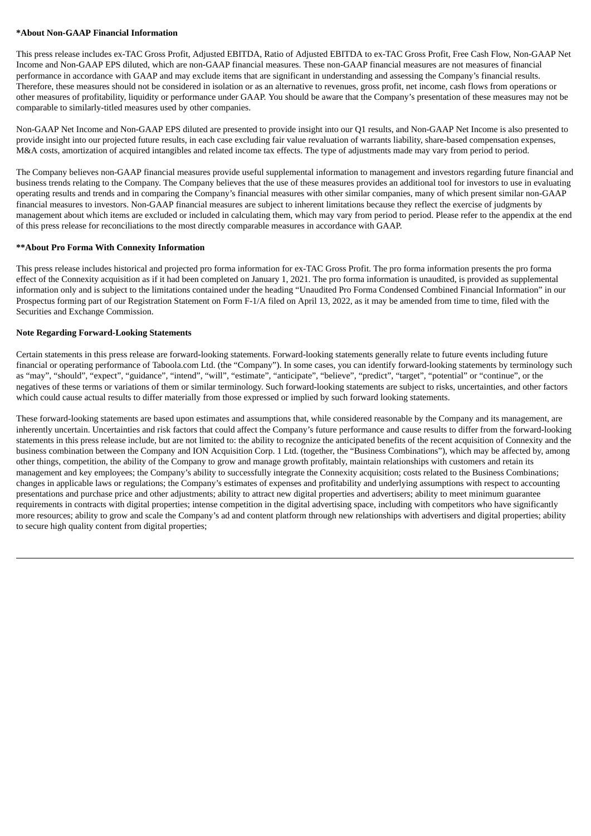### **\*About Non-GAAP Financial Information**

This press release includes ex-TAC Gross Profit, Adjusted EBITDA, Ratio of Adjusted EBITDA to ex-TAC Gross Profit, Free Cash Flow, Non-GAAP Net Income and Non-GAAP EPS diluted, which are non-GAAP financial measures. These non-GAAP financial measures are not measures of financial performance in accordance with GAAP and may exclude items that are significant in understanding and assessing the Company's financial results. Therefore, these measures should not be considered in isolation or as an alternative to revenues, gross profit, net income, cash flows from operations or other measures of profitability, liquidity or performance under GAAP. You should be aware that the Company's presentation of these measures may not be comparable to similarly-titled measures used by other companies.

Non-GAAP Net Income and Non-GAAP EPS diluted are presented to provide insight into our Q1 results, and Non-GAAP Net Income is also presented to provide insight into our projected future results, in each case excluding fair value revaluation of warrants liability, share-based compensation expenses, M&A costs, amortization of acquired intangibles and related income tax effects. The type of adjustments made may vary from period to period.

The Company believes non-GAAP financial measures provide useful supplemental information to management and investors regarding future financial and business trends relating to the Company. The Company believes that the use of these measures provides an additional tool for investors to use in evaluating operating results and trends and in comparing the Company's financial measures with other similar companies, many of which present similar non-GAAP financial measures to investors. Non-GAAP financial measures are subject to inherent limitations because they reflect the exercise of judgments by management about which items are excluded or included in calculating them, which may vary from period to period. Please refer to the appendix at the end of this press release for reconciliations to the most directly comparable measures in accordance with GAAP.

## **\*\*About Pro Forma With Connexity Information**

This press release includes historical and projected pro forma information for ex-TAC Gross Profit. The pro forma information presents the pro forma effect of the Connexity acquisition as if it had been completed on January 1, 2021. The pro forma information is unaudited, is provided as supplemental information only and is subject to the limitations contained under the heading "Unaudited Pro Forma Condensed Combined Financial Information" in our Prospectus forming part of our Registration Statement on Form F-1/A filed on April 13, 2022, as it may be amended from time to time, filed with the Securities and Exchange Commission.

## **Note Regarding Forward-Looking Statements**

Certain statements in this press release are forward-looking statements. Forward-looking statements generally relate to future events including future financial or operating performance of Taboola.com Ltd. (the "Company"). In some cases, you can identify forward-looking statements by terminology such as "may", "should", "expect", "guidance", "intend", "will", "estimate", "anticipate", "believe", "predict", "target", "potential" or "continue", or the negatives of these terms or variations of them or similar terminology. Such forward-looking statements are subject to risks, uncertainties, and other factors which could cause actual results to differ materially from those expressed or implied by such forward looking statements.

These forward-looking statements are based upon estimates and assumptions that, while considered reasonable by the Company and its management, are inherently uncertain. Uncertainties and risk factors that could affect the Company's future performance and cause results to differ from the forward-looking statements in this press release include, but are not limited to: the ability to recognize the anticipated benefits of the recent acquisition of Connexity and the business combination between the Company and ION Acquisition Corp. 1 Ltd. (together, the "Business Combinations"), which may be affected by, among other things, competition, the ability of the Company to grow and manage growth profitably, maintain relationships with customers and retain its management and key employees; the Company's ability to successfully integrate the Connexity acquisition; costs related to the Business Combinations; changes in applicable laws or regulations; the Company's estimates of expenses and profitability and underlying assumptions with respect to accounting presentations and purchase price and other adjustments; ability to attract new digital properties and advertisers; ability to meet minimum guarantee requirements in contracts with digital properties; intense competition in the digital advertising space, including with competitors who have significantly more resources; ability to grow and scale the Company's ad and content platform through new relationships with advertisers and digital properties; ability to secure high quality content from digital properties;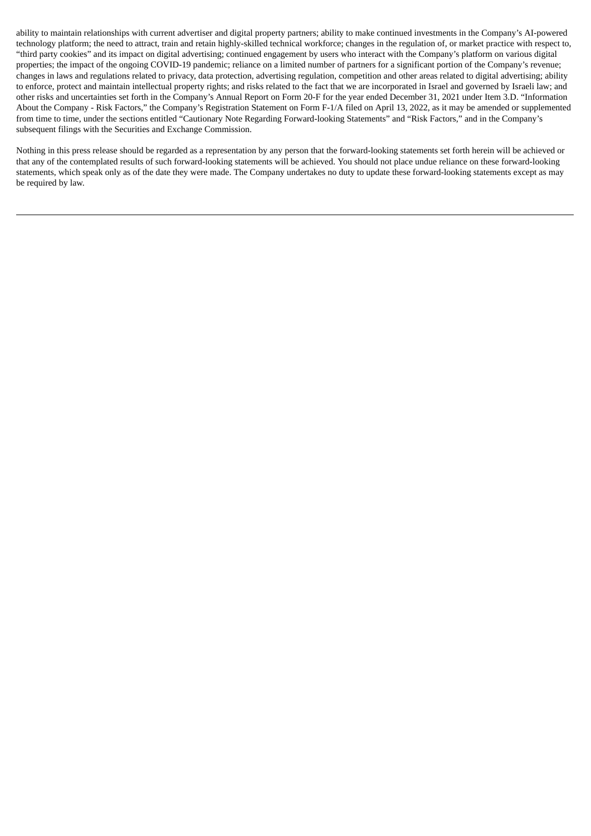ability to maintain relationships with current advertiser and digital property partners; ability to make continued investments in the Company's AI-powered technology platform; the need to attract, train and retain highly-skilled technical workforce; changes in the regulation of, or market practice with respect to, "third party cookies" and its impact on digital advertising; continued engagement by users who interact with the Company's platform on various digital properties; the impact of the ongoing COVID-19 pandemic; reliance on a limited number of partners for a significant portion of the Company's revenue; changes in laws and regulations related to privacy, data protection, advertising regulation, competition and other areas related to digital advertising; ability to enforce, protect and maintain intellectual property rights; and risks related to the fact that we are incorporated in Israel and governed by Israeli law; and other risks and uncertainties set forth in the Company's Annual Report on Form 20-F for the year ended December 31, 2021 under Item 3.D. "Information About the Company - Risk Factors," the Company's Registration Statement on Form F-1/A filed on April 13, 2022, as it may be amended or supplemented from time to time, under the sections entitled "Cautionary Note Regarding Forward-looking Statements" and "Risk Factors," and in the Company's subsequent filings with the Securities and Exchange Commission.

Nothing in this press release should be regarded as a representation by any person that the forward-looking statements set forth herein will be achieved or that any of the contemplated results of such forward-looking statements will be achieved. You should not place undue reliance on these forward-looking statements, which speak only as of the date they were made. The Company undertakes no duty to update these forward-looking statements except as may be required by law.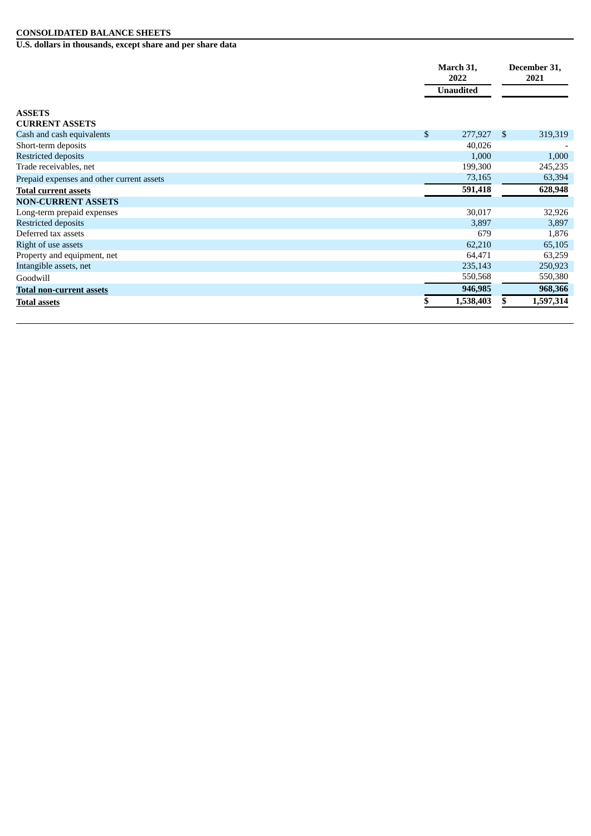#### **CONSOLIDATED BALANCE SHEETS**

U.S. dollars in thousands, except share and per share data

|                                            | March 31,<br>2022 |                 |      | December 31,<br>2021 |
|--------------------------------------------|-------------------|-----------------|------|----------------------|
|                                            | <b>Unaudited</b>  |                 |      |                      |
| <b>ASSETS</b><br><b>CURRENT ASSETS</b>     |                   |                 |      |                      |
| Cash and cash equivalents                  | \$                | 277,927         | - \$ | 319,319              |
| Short-term deposits<br>Restricted deposits |                   | 40,026<br>1,000 |      | 1,000                |
| Trade receivables, net                     |                   | 199,300         |      | 245,235              |
| Prepaid expenses and other current assets  |                   | 73,165          |      | 63,394               |
| <b>Total current assets</b>                |                   | 591,418         |      | 628,948              |
| <b>NON-CURRENT ASSETS</b>                  |                   |                 |      |                      |
| Long-term prepaid expenses                 |                   | 30,017          |      | 32,926               |
| <b>Restricted deposits</b>                 |                   | 3,897           |      | 3,897                |
| Deferred tax assets                        |                   | 679             |      | 1,876                |
| Right of use assets                        |                   | 62,210          |      | 65,105               |
| Property and equipment, net                |                   | 64,471          |      | 63,259               |
| Intangible assets, net                     |                   | 235,143         |      | 250,923              |
| Goodwill                                   |                   | 550,568         |      | 550,380              |
| <b>Total non-current assets</b>            |                   | 946,985         |      | 968,366              |
| <b>Total assets</b>                        |                   | 1,538,403       |      | 1,597,314            |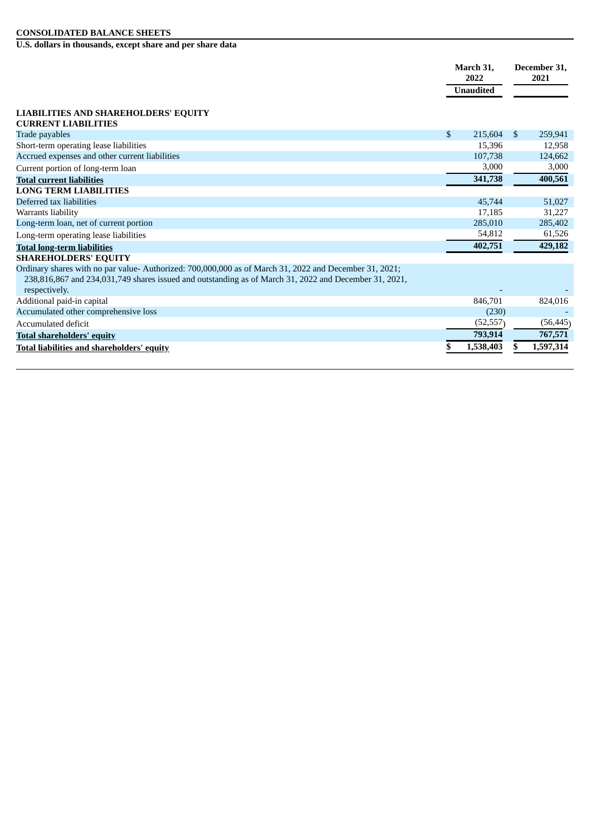#### **CONSOLIDATED BALANCE SHEETS**

**U.S. dollars in thousands, except share and per share data**

|                                                                                                                        | March 31.<br>2022 |           | December 31.  |           |
|------------------------------------------------------------------------------------------------------------------------|-------------------|-----------|---------------|-----------|
|                                                                                                                        | <b>Unaudited</b>  |           |               |           |
| <b>LIABILITIES AND SHAREHOLDERS' EQUITY</b><br><b>CURRENT LIABILITIES</b>                                              |                   |           |               |           |
| Trade payables                                                                                                         | $\mathbb{S}$      | 215,604   | <sup>\$</sup> | 259,941   |
| Short-term operating lease liabilities                                                                                 |                   | 15,396    |               | 12,958    |
| Accrued expenses and other current liabilities                                                                         |                   | 107,738   |               | 124,662   |
| Current portion of long-term loan                                                                                      |                   | 3,000     |               | 3,000     |
| <b>Total current liabilities</b>                                                                                       |                   | 341,738   |               | 400,561   |
| <b>LONG TERM LIABILITIES</b>                                                                                           |                   |           |               |           |
| Deferred tax liabilities                                                                                               |                   | 45,744    |               | 51,027    |
| Warrants liability                                                                                                     |                   | 17,185    |               | 31,227    |
| Long-term loan, net of current portion                                                                                 |                   | 285,010   |               | 285,402   |
| Long-term operating lease liabilities                                                                                  |                   | 54,812    |               | 61,526    |
| <b>Total long-term liabilities</b>                                                                                     |                   | 402,751   |               | 429,182   |
| <b>SHAREHOLDERS' EQUITY</b>                                                                                            |                   |           |               |           |
| Ordinary shares with no par value-Authorized: 700,000,000 as of March 31, 2022 and December 31, 2021;                  |                   |           |               |           |
| 238,816,867 and 234,031,749 shares issued and outstanding as of March 31, 2022 and December 31, 2021,<br>respectively. |                   |           |               |           |
| Additional paid-in capital                                                                                             |                   | 846,701   |               | 824,016   |
| Accumulated other comprehensive loss                                                                                   |                   | (230)     |               |           |
| Accumulated deficit                                                                                                    |                   | (52, 557) |               | (56, 445) |
| <b>Total shareholders' equity</b>                                                                                      |                   | 793,914   |               | 767,571   |
| <b>Total liabilities and shareholders' equity</b>                                                                      |                   | 1,538,403 | S             | 1,597,314 |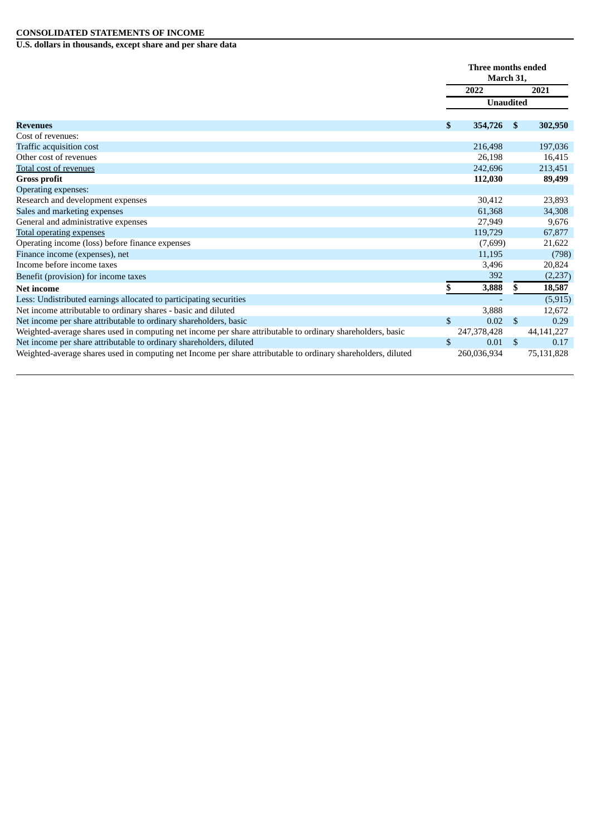#### **CONSOLIDATED STATEMENTS OF INCOME**

**U.S. dollars in thousands, except share and per share data**

|                                                                                                               | Three months ended<br>March 31, |                  |               |              |
|---------------------------------------------------------------------------------------------------------------|---------------------------------|------------------|---------------|--------------|
|                                                                                                               | 2022                            |                  |               | 2021         |
|                                                                                                               |                                 | <b>Unaudited</b> |               |              |
| <b>Revenues</b>                                                                                               | \$                              | 354,726          | $\mathbf{\$}$ | 302,950      |
| Cost of revenues:                                                                                             |                                 |                  |               |              |
| Traffic acquisition cost                                                                                      |                                 | 216,498          |               | 197,036      |
| Other cost of revenues                                                                                        |                                 | 26,198           |               | 16,415       |
| <b>Total cost of revenues</b>                                                                                 |                                 | 242,696          |               | 213,451      |
| <b>Gross profit</b>                                                                                           |                                 | 112,030          |               | 89,499       |
| Operating expenses:                                                                                           |                                 |                  |               |              |
| Research and development expenses                                                                             |                                 | 30,412           |               | 23,893       |
| Sales and marketing expenses                                                                                  |                                 | 61,368           |               | 34,308       |
| General and administrative expenses                                                                           |                                 | 27,949           |               | 9,676        |
| Total operating expenses                                                                                      |                                 | 119,729          |               | 67,877       |
| Operating income (loss) before finance expenses                                                               |                                 | (7,699)          |               | 21,622       |
| Finance income (expenses), net                                                                                |                                 | 11,195           |               | (798)        |
| Income before income taxes                                                                                    |                                 | 3,496            |               | 20,824       |
| Benefit (provision) for income taxes                                                                          |                                 | 392              |               | (2, 237)     |
| <b>Net income</b>                                                                                             | \$                              | 3,888            | \$.           | 18,587       |
| Less: Undistributed earnings allocated to participating securities                                            |                                 |                  |               | (5, 915)     |
| Net income attributable to ordinary shares - basic and diluted                                                |                                 | 3,888            |               | 12,672       |
| Net income per share attributable to ordinary shareholders, basic                                             | \$                              | 0.02             | \$            | 0.29         |
| Weighted-average shares used in computing net income per share attributable to ordinary shareholders, basic   |                                 | 247,378,428      |               | 44, 141, 227 |
| Net income per share attributable to ordinary shareholders, diluted                                           | \$                              | 0.01             | $\mathbb{S}$  | 0.17         |
| Weighted-average shares used in computing net Income per share attributable to ordinary shareholders, diluted |                                 | 260,036,934      |               | 75,131,828   |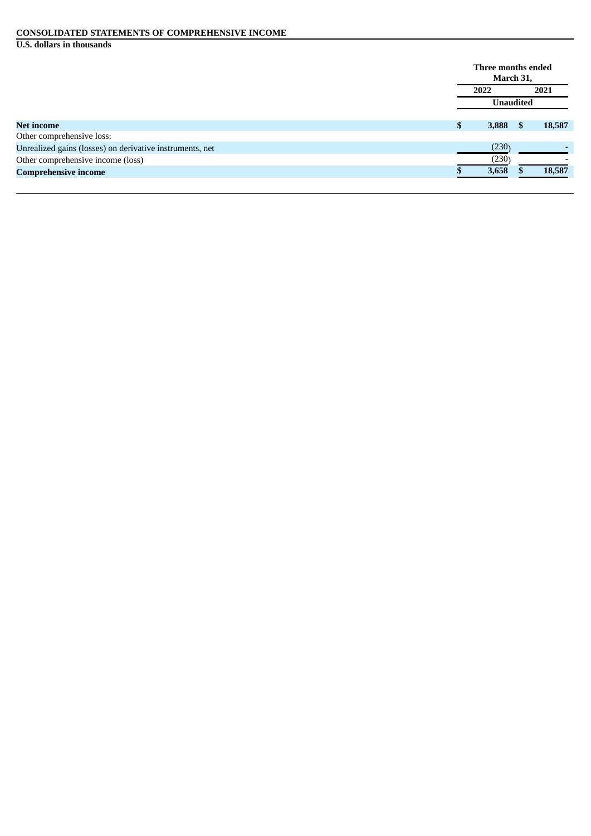#### **CONSOLIDATED STATEMENTS OF COMPREHENSIVE INCOME**

**U.S. dollars in thousands**

|                                                          |      | Three months ended<br>March 31, |   |        |
|----------------------------------------------------------|------|---------------------------------|---|--------|
|                                                          | 2022 |                                 |   | 2021   |
|                                                          |      | <b>Unaudited</b>                |   |        |
| <b>Net income</b>                                        | \$   | 3,888                           | S | 18,587 |
| Other comprehensive loss:                                |      |                                 |   |        |
| Unrealized gains (losses) on derivative instruments, net |      | (230)                           |   |        |
| Other comprehensive income (loss)                        |      | (230)                           |   |        |
| <b>Comprehensive income</b>                              |      | 3,658                           |   | 18,587 |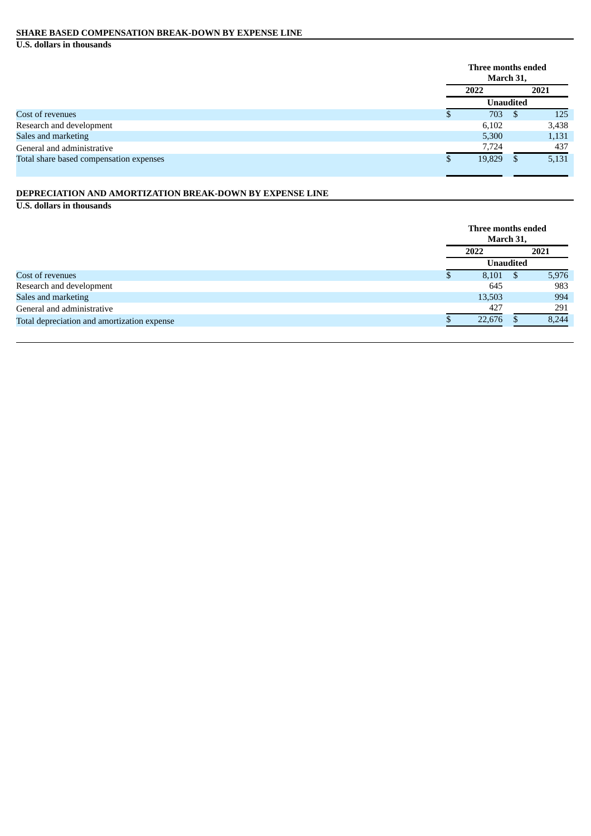# **SHARE BASED COMPENSATION BREAK-DOWN BY EXPENSE LINE**

**U.S. dollars in thousands**

|                                         |    | Three months ended<br>March 31, |                  |       |
|-----------------------------------------|----|---------------------------------|------------------|-------|
|                                         |    | 2022                            |                  | 2021  |
|                                         |    |                                 | <b>Unaudited</b> |       |
| Cost of revenues                        | ۰D | 703                             | S                | 125   |
| Research and development                |    | 6,102                           |                  | 3,438 |
| Sales and marketing                     |    | 5,300                           |                  | 1,131 |
| General and administrative              |    | 7,724                           |                  | 437   |
| Total share based compensation expenses |    | 19,829                          | - 85             | 5,131 |

# **DEPRECIATION AND AMORTIZATION BREAK-DOWN BY EXPENSE LINE**

# **U.S. dollars in thousands**

|                                             |      | Three months ended<br>March 31, |                  |       |      |  |
|---------------------------------------------|------|---------------------------------|------------------|-------|------|--|
|                                             | 2022 |                                 |                  |       | 2021 |  |
|                                             |      |                                 | <b>Unaudited</b> |       |      |  |
| Cost of revenues                            |      | 8,101                           | Ъ                | 5,976 |      |  |
| Research and development                    |      | 645                             |                  | 983   |      |  |
| Sales and marketing                         |      | 13,503                          |                  | 994   |      |  |
| General and administrative                  |      | 427                             |                  | 291   |      |  |
| Total depreciation and amortization expense |      | 22,676                          |                  | 8.244 |      |  |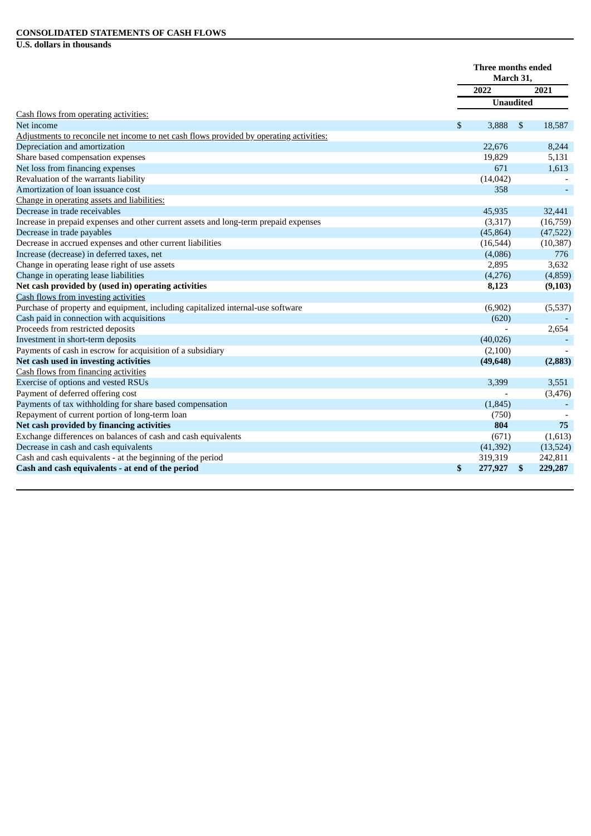# **CONSOLIDATED STATEMENTS OF CASH FLOWS**

**U.S. dollars in thousands**

|                                                                                         | Three months ended<br>March 31, |                  |                |           |
|-----------------------------------------------------------------------------------------|---------------------------------|------------------|----------------|-----------|
|                                                                                         |                                 | 2022             |                | 2021      |
|                                                                                         |                                 | <b>Unaudited</b> |                |           |
| Cash flows from operating activities:                                                   |                                 |                  |                |           |
| Net income                                                                              | \$                              | 3,888            | $\mathfrak{s}$ | 18,587    |
| Adjustments to reconcile net income to net cash flows provided by operating activities: |                                 |                  |                |           |
| Depreciation and amortization                                                           |                                 | 22,676           |                | 8,244     |
| Share based compensation expenses                                                       |                                 | 19,829           |                | 5,131     |
| Net loss from financing expenses                                                        |                                 | 671              |                | 1,613     |
| Revaluation of the warrants liability                                                   |                                 | (14, 042)        |                |           |
| Amortization of loan issuance cost                                                      |                                 | 358              |                |           |
| Change in operating assets and liabilities:                                             |                                 |                  |                |           |
| Decrease in trade receivables                                                           |                                 | 45,935           |                | 32,441    |
| Increase in prepaid expenses and other current assets and long-term prepaid expenses    |                                 | (3,317)          |                | (16,759)  |
| Decrease in trade payables                                                              |                                 | (45, 864)        |                | (47, 522) |
| Decrease in accrued expenses and other current liabilities                              |                                 | (16, 544)        |                | (10, 387) |
| Increase (decrease) in deferred taxes, net                                              |                                 | (4,086)          |                | 776       |
| Change in operating lease right of use assets                                           |                                 | 2,895            |                | 3,632     |
| Change in operating lease liabilities                                                   |                                 | (4,276)          |                | (4,859)   |
| Net cash provided by (used in) operating activities                                     |                                 | 8,123            |                | (9,103)   |
| Cash flows from investing activities                                                    |                                 |                  |                |           |
| Purchase of property and equipment, including capitalized internal-use software         |                                 | (6,902)          |                | (5,537)   |
| Cash paid in connection with acquisitions                                               |                                 | (620)            |                |           |
| Proceeds from restricted deposits                                                       |                                 |                  |                | 2,654     |
| Investment in short-term deposits                                                       |                                 | (40, 026)        |                |           |
| Payments of cash in escrow for acquisition of a subsidiary                              |                                 | (2,100)          |                |           |
| Net cash used in investing activities                                                   |                                 | (49, 648)        |                | (2,883)   |
| Cash flows from financing activities                                                    |                                 |                  |                |           |
| Exercise of options and vested RSUs                                                     |                                 | 3,399            |                | 3,551     |
| Payment of deferred offering cost                                                       |                                 |                  |                | (3, 476)  |
| Payments of tax withholding for share based compensation                                |                                 | (1, 845)         |                |           |
| Repayment of current portion of long-term loan                                          |                                 | (750)            |                |           |
| Net cash provided by financing activities                                               |                                 | 804              |                | 75        |
| Exchange differences on balances of cash and cash equivalents                           |                                 | (671)            |                | (1,613)   |
| Decrease in cash and cash equivalents                                                   |                                 | (41,392)         |                | (13,524)  |
| Cash and cash equivalents - at the beginning of the period                              |                                 | 319,319          |                | 242,811   |
| Cash and cash equivalents - at end of the period                                        | \$                              | 277,927 \$       |                | 229,287   |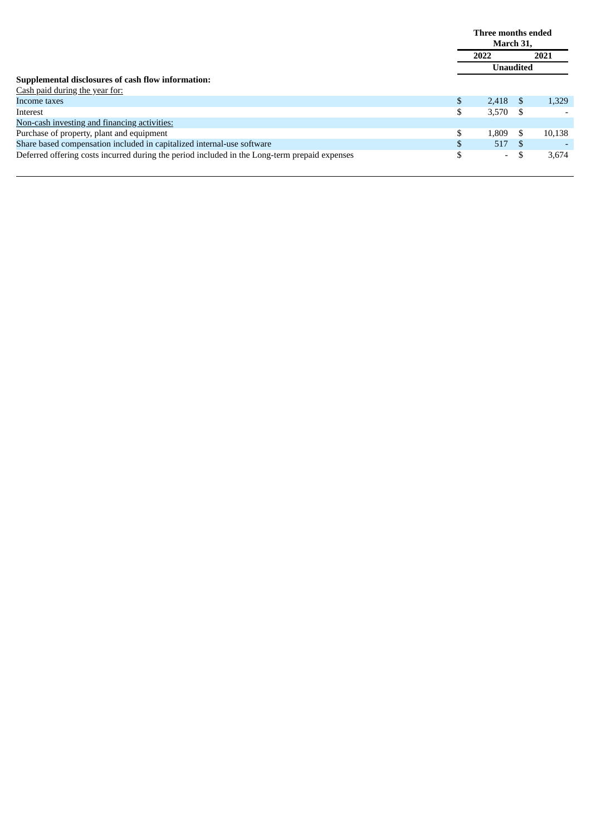|                                                                                               | Three months ended<br>March 31, |       |      |        |
|-----------------------------------------------------------------------------------------------|---------------------------------|-------|------|--------|
|                                                                                               | 2022                            |       | 2021 |        |
|                                                                                               | <b>Unaudited</b>                |       |      |        |
| Supplemental disclosures of cash flow information:                                            |                                 |       |      |        |
| Cash paid during the year for:                                                                |                                 |       |      |        |
| Income taxes                                                                                  | \$                              | 2.418 |      | 1,329  |
| <b>Interest</b>                                                                               | ¢                               | 3,570 |      |        |
| Non-cash investing and financing activities:                                                  |                                 |       |      |        |
| Purchase of property, plant and equipment                                                     | ¢                               | 1.809 | -S   | 10,138 |
| Share based compensation included in capitalized internal-use software                        | \$                              | 517   | - \$ |        |
| Deferred offering costs incurred during the period included in the Long-term prepaid expenses | \$                              | $-$   | S    | 3,674  |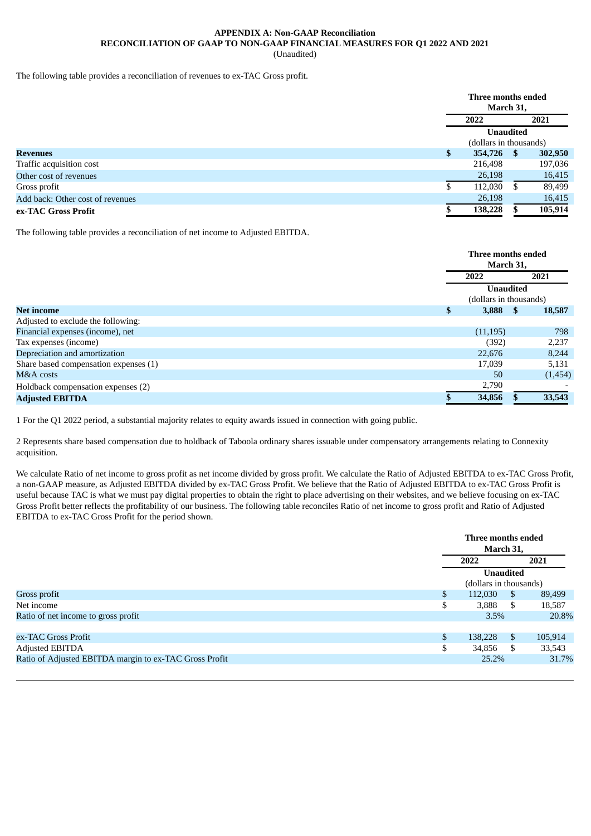## **APPENDIX A: Non-GAAP Reconciliation RECONCILIATION OF GAAP TO NON-GAAP FINANCIAL MEASURES FOR Q1 2022 AND 2021**

(Unaudited)

The following table provides a reconciliation of revenues to ex-TAC Gross profit.

|                                  |    | Three months ended<br>March 31, |               |         |
|----------------------------------|----|---------------------------------|---------------|---------|
|                                  |    | 2022                            | 2021          |         |
|                                  |    | <b>Unaudited</b>                |               |         |
|                                  |    | (dollars in thousands)          |               |         |
| <b>Revenues</b>                  | \$ | 354,726                         | <sup>\$</sup> | 302,950 |
| Traffic acquisition cost         |    | 216,498                         |               | 197,036 |
| Other cost of revenues           |    | 26,198                          |               | 16,415  |
| Gross profit                     | S  | 112,030                         | S.            | 89,499  |
| Add back: Other cost of revenues |    | 26,198                          |               | 16,415  |
| ex-TAC Gross Profit              |    | 138,228                         |               | 105,914 |

The following table provides a reconciliation of net income to Adjusted EBITDA.

|                                       |                  | Three months ended<br>March 31, |
|---------------------------------------|------------------|---------------------------------|
|                                       | 2022             | 2021                            |
|                                       |                  | <b>Unaudited</b>                |
|                                       |                  | (dollars in thousands)          |
| <b>Net income</b>                     | $3,888$ \$<br>\$ | 18,587                          |
| Adjusted to exclude the following:    |                  |                                 |
| Financial expenses (income), net      | (11, 195)        | 798                             |
| Tax expenses (income)                 | (392)            | 2,237                           |
| Depreciation and amortization         | 22,676           | 8,244                           |
| Share based compensation expenses (1) | 17,039           | 5,131                           |
| M&A costs                             | 50               | (1,454)                         |
| Holdback compensation expenses (2)    | 2,790            |                                 |
| <b>Adjusted EBITDA</b>                | 34,856           | 33,543                          |

1 For the Q1 2022 period, a substantial majority relates to equity awards issued in connection with going public.

2 Represents share based compensation due to holdback of Taboola ordinary shares issuable under compensatory arrangements relating to Connexity acquisition.

We calculate Ratio of net income to gross profit as net income divided by gross profit. We calculate the Ratio of Adjusted EBITDA to ex-TAC Gross Profit, a non-GAAP measure, as Adjusted EBITDA divided by ex-TAC Gross Profit. We believe that the Ratio of Adjusted EBITDA to ex-TAC Gross Profit is useful because TAC is what we must pay digital properties to obtain the right to place advertising on their websites, and we believe focusing on ex-TAC Gross Profit better reflects the profitability of our business. The following table reconciles Ratio of net income to gross profit and Ratio of Adjusted EBITDA to ex-TAC Gross Profit for the period shown.

|                                                        |    | Three months ended<br>March 31, |               |         |  |
|--------------------------------------------------------|----|---------------------------------|---------------|---------|--|
|                                                        |    | 2022                            | 2021          |         |  |
|                                                        |    | <b>Unaudited</b>                |               |         |  |
|                                                        |    | (dollars in thousands)          |               |         |  |
| Gross profit                                           | \$ | 112,030                         | <sup>\$</sup> | 89,499  |  |
| Net income                                             | Э  | 3,888                           | -S            | 18,587  |  |
| Ratio of net income to gross profit                    |    | 3.5%                            |               | 20.8%   |  |
|                                                        |    |                                 |               |         |  |
| ex-TAC Gross Profit                                    | \$ | 138,228                         | <sup>\$</sup> | 105,914 |  |
| Adjusted EBITDA                                        |    | 34,856                          | \$            | 33,543  |  |
| Ratio of Adjusted EBITDA margin to ex-TAC Gross Profit |    | 25.2%                           | 31.7%         |         |  |
|                                                        |    |                                 |               |         |  |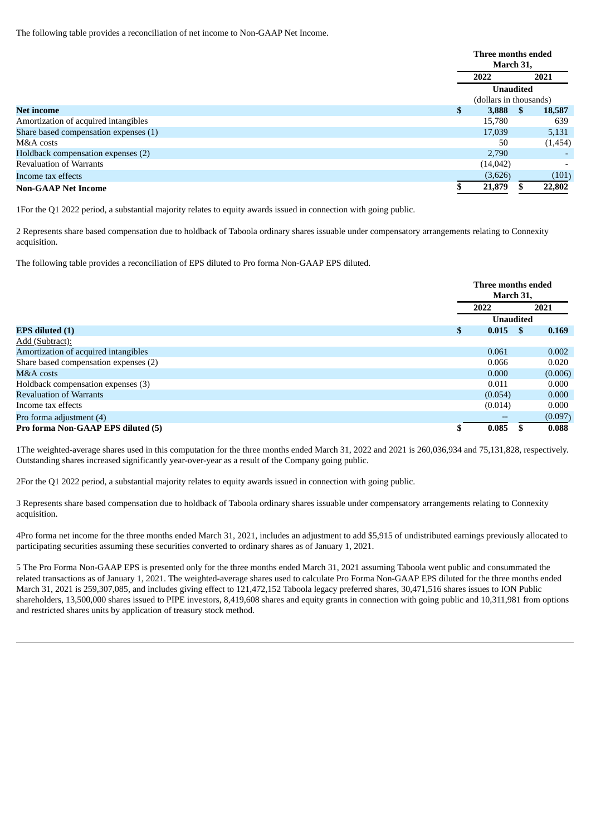The following table provides a reconciliation of net income to Non-GAAP Net Income.

|                                       | Three months ended<br>March 31, |      |         |  |
|---------------------------------------|---------------------------------|------|---------|--|
|                                       | 2022                            | 2021 |         |  |
|                                       | <b>Unaudited</b>                |      |         |  |
|                                       | (dollars in thousands)          |      |         |  |
| <b>Net income</b>                     | \$<br>$3,888$ \$                |      | 18,587  |  |
| Amortization of acquired intangibles  | 15.780                          |      | 639     |  |
| Share based compensation expenses (1) | 17,039                          |      | 5,131   |  |
| M&A costs                             | 50                              |      | (1,454) |  |
| Holdback compensation expenses (2)    | 2,790                           |      |         |  |
| <b>Revaluation of Warrants</b>        | (14, 042)                       |      |         |  |
| Income tax effects                    | (3,626)                         |      | (101)   |  |
| <b>Non-GAAP Net Income</b>            | 21,879                          |      | 22,802  |  |

1For the Q1 2022 period, a substantial majority relates to equity awards issued in connection with going public.

2 Represents share based compensation due to holdback of Taboola ordinary shares issuable under compensatory arrangements relating to Connexity acquisition.

The following table provides a reconciliation of EPS diluted to Pro forma Non-GAAP EPS diluted.

|                                       | Three months ended<br>March 31, |           |         |  |
|---------------------------------------|---------------------------------|-----------|---------|--|
|                                       | 2022                            |           | 2021    |  |
|                                       | <b>Unaudited</b>                |           |         |  |
| <b>EPS</b> diluted (1)                | \$<br>0.015                     | $\sim$ \$ | 0.169   |  |
| Add (Subtract):                       |                                 |           |         |  |
| Amortization of acquired intangibles  | 0.061                           |           | 0.002   |  |
| Share based compensation expenses (2) | 0.066                           |           | 0.020   |  |
| M&A costs                             | 0.000                           |           | (0.006) |  |
| Holdback compensation expenses (3)    | 0.011                           |           | 0.000   |  |
| <b>Revaluation of Warrants</b>        | (0.054)                         |           | 0.000   |  |
| Income tax effects                    | (0.014)                         |           | 0.000   |  |
| Pro forma adjustment (4)              |                                 |           | (0.097) |  |
| Pro forma Non-GAAP EPS diluted (5)    | 0.085                           |           | 0.088   |  |

1The weighted-average shares used in this computation for the three months ended March 31, 2022 and 2021 is 260,036,934 and 75,131,828, respectively. Outstanding shares increased significantly year-over-year as a result of the Company going public.

2For the Q1 2022 period, a substantial majority relates to equity awards issued in connection with going public.

3 Represents share based compensation due to holdback of Taboola ordinary shares issuable under compensatory arrangements relating to Connexity acquisition.

4Pro forma net income for the three months ended March 31, 2021, includes an adjustment to add \$5,915 of undistributed earnings previously allocated to participating securities assuming these securities converted to ordinary shares as of January 1, 2021.

5 The Pro Forma Non-GAAP EPS is presented only for the three months ended March 31, 2021 assuming Taboola went public and consummated the related transactions as of January 1, 2021. The weighted-average shares used to calculate Pro Forma Non-GAAP EPS diluted for the three months ended March 31, 2021 is 259,307,085, and includes giving effect to 121,472,152 Taboola legacy preferred shares, 30,471,516 shares issues to ION Public shareholders, 13,500,000 shares issued to PIPE investors, 8,419,608 shares and equity grants in connection with going public and 10,311,981 from options and restricted shares units by application of treasury stock method.